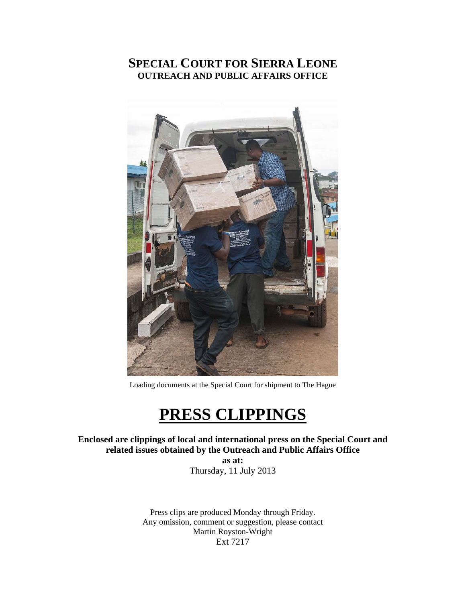## **SPECIAL COURT FOR SIERRA LEONE OUTREACH AND PUBLIC AFFAIRS OFFICE**



Loading documents at the Special Court for shipment to The Hague

# **PRESS CLIPPINGS**

**Enclosed are clippings of local and international press on the Special Court and related issues obtained by the Outreach and Public Affairs Office as at:** 

Thursday, 11 July 2013

Press clips are produced Monday through Friday. Any omission, comment or suggestion, please contact Martin Royston-Wright Ext 7217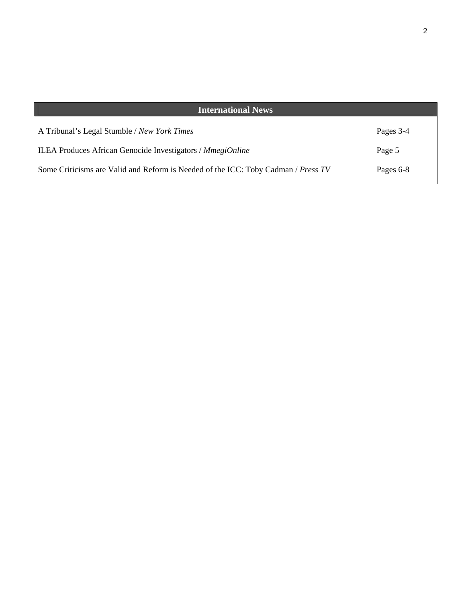| <b>International News</b>                                                         |           |
|-----------------------------------------------------------------------------------|-----------|
| A Tribunal's Legal Stumble / New York Times                                       | Pages 3-4 |
| ILEA Produces African Genocide Investigators / MmegiOnline                        | Page 5    |
| Some Criticisms are Valid and Reform is Needed of the ICC: Toby Cadman / Press TV | Pages 6-8 |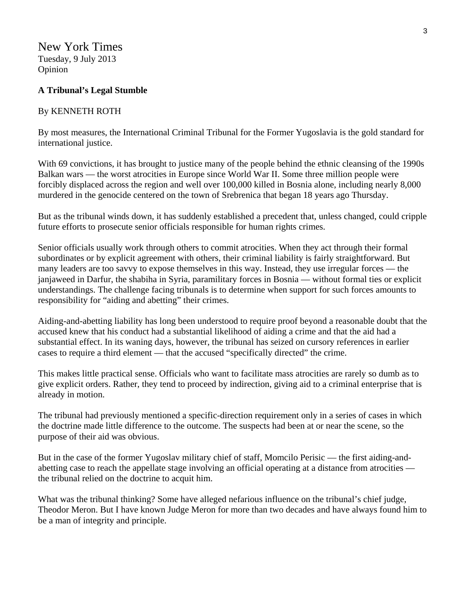New York Times Tuesday, 9 July 2013 Opinion

#### **A Tribunal's Legal Stumble**

#### By KENNETH ROTH

By most measures, the International Criminal Tribunal for the Former Yugoslavia is the gold standard for international justice.

With 69 convictions, it has brought to justice many of the people behind the ethnic cleansing of the 1990s Balkan wars — the worst atrocities in Europe since World War II. Some three million people were forcibly displaced across the region and well over 100,000 killed in Bosnia alone, including nearly 8,000 murdered in the genocide centered on the town of Srebrenica that began 18 years ago Thursday.

But as the tribunal winds down, it has suddenly established a precedent that, unless changed, could cripple future efforts to prosecute senior officials responsible for human rights crimes.

Senior officials usually work through others to commit atrocities. When they act through their formal subordinates or by explicit agreement with others, their criminal liability is fairly straightforward. But many leaders are too savvy to expose themselves in this way. Instead, they use irregular forces — the janjaweed in Darfur, the shabiha in Syria, paramilitary forces in Bosnia — without formal ties or explicit understandings. The challenge facing tribunals is to determine when support for such forces amounts to responsibility for "aiding and abetting" their crimes.

Aiding-and-abetting liability has long been understood to require proof beyond a reasonable doubt that the accused knew that his conduct had a substantial likelihood of aiding a crime and that the aid had a substantial effect. In its waning days, however, the tribunal has seized on cursory references in earlier cases to require a third element — that the accused "specifically directed" the crime.

This makes little practical sense. Officials who want to facilitate mass atrocities are rarely so dumb as to give explicit orders. Rather, they tend to proceed by indirection, giving aid to a criminal enterprise that is already in motion.

The tribunal had previously mentioned a specific-direction requirement only in a series of cases in which the doctrine made little difference to the outcome. The suspects had been at or near the scene, so the purpose of their aid was obvious.

But in the case of the former Yugoslav military chief of staff, Momcilo Perisic — the first aiding-andabetting case to reach the appellate stage involving an official operating at a distance from atrocities the tribunal relied on the doctrine to acquit him.

What was the tribunal thinking? Some have alleged nefarious influence on the tribunal's chief judge, Theodor Meron. But I have known Judge Meron for more than two decades and have always found him to be a man of integrity and principle.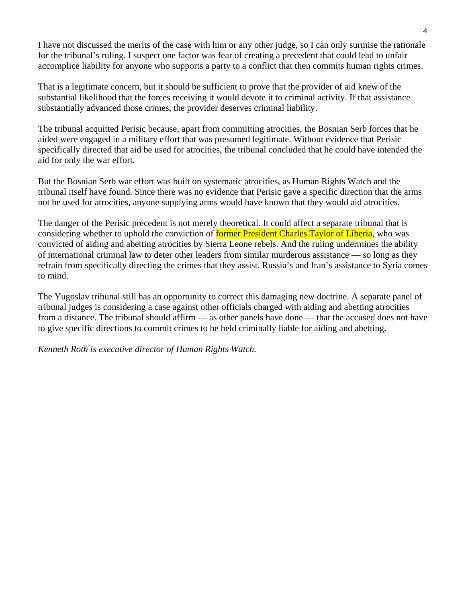I have not discussed the merits of the case with him or any other judge, so I can only surmise the rationale for the tribunal's ruling. I suspect one factor was fear of creating a precedent that could lead to unfair accomplice liability for anyone who supports a party to a conflict that then commits human rights crimes.

That is a legitimate concern, but it should be sufficient to prove that the provider of aid knew of the substantial likelihood that the forces receiving it would devote it to criminal activity. If that assistance substantially advanced those crimes, the provider deserves criminal liability.

The tribunal acquitted Perisic because, apart from committing atrocities, the Bosnian Serb forces that he aided were engaged in a military effort that was presumed legitimate. Without evidence that Perisic specifically directed that aid be used for atrocities, the tribunal concluded that he could have intended the aid for only the war effort.

But the Bosnian Serb war effort was built on systematic atrocities, as Human Rights Watch and the tribunal itself have found. Since there was no evidence that Perisic gave a specific direction that the arms not be used for atrocities, anyone supplying arms would have known that they would aid atrocities.

The danger of the Perisic precedent is not merely theoretical. It could affect a separate tribunal that is considering whether to uphold the conviction of former President Charles Taylor of Liberia, who was convicted of aiding and abetting atrocities by Sierra Leone rebels. And the ruling undermines the ability of international criminal law to deter other leaders from similar murderous assistance — so long as they refrain from specifically directing the crimes that they assist. Russia's and Iran's assistance to Syria comes to mind.

The Yugoslav tribunal still has an opportunity to correct this damaging new doctrine. A separate panel of tribunal judges is considering a case against other officials charged with aiding and abetting atrocities from a distance. The tribunal should affirm — as other panels have done — that the accused does not have to give specific directions to commit crimes to be held criminally liable for aiding and abetting.

*Kenneth Roth is executive director of Human Rights Watch.*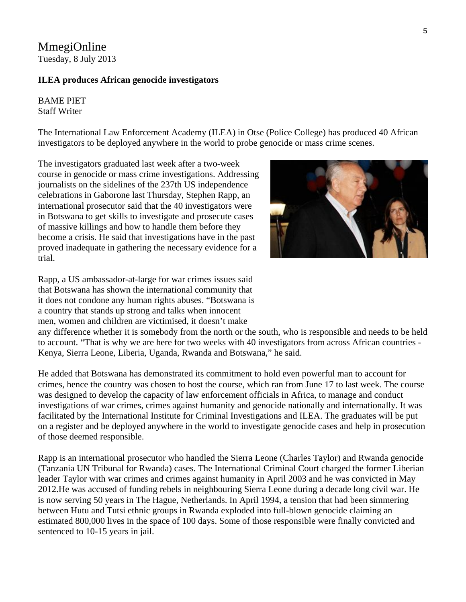## MmegiOnline Tuesday, 8 July 2013

## **ILEA produces African genocide investigators**

## BAME PIET Staff Writer

The International Law Enforcement Academy (ILEA) in Otse (Police College) has produced 40 African investigators to be deployed anywhere in the world to probe genocide or mass crime scenes.

The investigators graduated last week after a two-week course in genocide or mass crime investigations. A ddressing journalists on the sidelines of the 237th US independence celebrations in Gaborone last Thursday, Stephen Rapp, an international prosecutor said that the 40 investigators were in Botswana to get skills to investigate and prosecute cases of massive killings and how to handle them before they become a crisis. He said that investigations hav e in the past proved inadequate in gathering the necessary evidenc e for a trial.

Rapp, a US ambassador-at-large for war crimes issues said that Botswana has shown the international community that it does not condone any human rights abuses. "Botswana is a country that stands up strong and talks when innocent men, women and children are victimised, it doesn't make

any difference whether it is somebody from the north or the south, who is responsible and needs to be held to account. "That is why we are here for two weeks with 40 investigators from across African countries - Kenya, Sierra Leone, Liberia, Uganda, Rwanda and Botswana," he said.

He added that Botswana has demonstrated its commitment to hold even powerful man to account for crimes, hence the country was chosen to host the course, which ran from June 17 to last week. The course was designed to develop the capacity of law enforcement officials in Africa, to manage and conduct investigations of war crimes, crimes against humanity and genocide nationally and internationally. It was facilitated by the International Institute for Criminal Investigations and ILEA. The graduates will be put on a register and be deployed anywhere in the world to investigate genocide cases and help in prosecution of those deemed responsible.

Rapp is an international prosecutor who handled the Sierra Leone (Charles Taylor) and Rwanda genocide (Tanzania UN Tribunal for Rwanda) cases. The International Criminal Court charged the former Liberian leader Taylor with war crimes and crimes against humanity in April 2003 and he was convicted in May 2012.He was accused of funding rebels in neighbouring Sierra Leone during a decade long civil war. He is now serving 50 years in The Hague, Netherlands. In April 1994, a tension that had been simmering between Hutu and Tutsi ethnic groups in Rwanda exploded into full-blown genocide claiming an estimated 800,000 lives in the space of 100 days. Some of those responsible were finally convicted and sentenced to 10-15 years in jail.

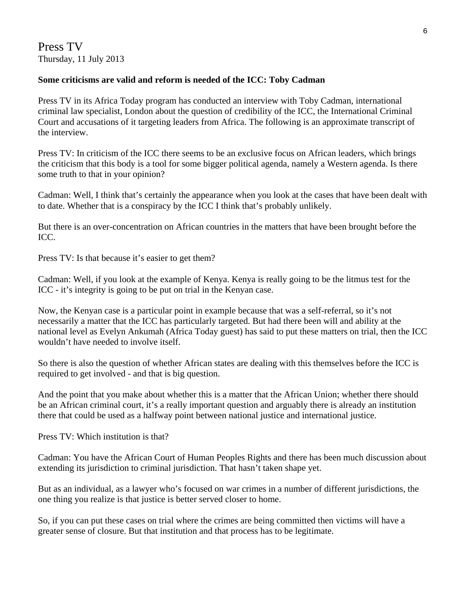## Press TV Thursday, 11 July 2013

## **Some criticisms are valid and reform is needed of the ICC: Toby Cadman**

Press TV in its Africa Today program has conducted an interview with Toby Cadman, international criminal law specialist, London about the question of credibility of the ICC, the International Criminal Court and accusations of it targeting leaders from Africa. The following is an approximate transcript of the interview.

Press TV: In criticism of the ICC there seems to be an exclusive focus on African leaders, which brings the criticism that this body is a tool for some bigger political agenda, namely a Western agenda. Is there some truth to that in your opinion?

Cadman: Well, I think that's certainly the appearance when you look at the cases that have been dealt with to date. Whether that is a conspiracy by the ICC I think that's probably unlikely.

But there is an over-concentration on African countries in the matters that have been brought before the ICC.

Press TV: Is that because it's easier to get them?

Cadman: Well, if you look at the example of Kenya. Kenya is really going to be the litmus test for the ICC - it's integrity is going to be put on trial in the Kenyan case.

Now, the Kenyan case is a particular point in example because that was a self-referral, so it's not necessarily a matter that the ICC has particularly targeted. But had there been will and ability at the national level as Evelyn Ankumah (Africa Today guest) has said to put these matters on trial, then the ICC wouldn't have needed to involve itself.

So there is also the question of whether African states are dealing with this themselves before the ICC is required to get involved - and that is big question.

And the point that you make about whether this is a matter that the African Union; whether there should be an African criminal court, it's a really important question and arguably there is already an institution there that could be used as a halfway point between national justice and international justice.

Press TV: Which institution is that?

Cadman: You have the African Court of Human Peoples Rights and there has been much discussion about extending its jurisdiction to criminal jurisdiction. That hasn't taken shape yet.

But as an individual, as a lawyer who's focused on war crimes in a number of different jurisdictions, the one thing you realize is that justice is better served closer to home.

So, if you can put these cases on trial where the crimes are being committed then victims will have a greater sense of closure. But that institution and that process has to be legitimate.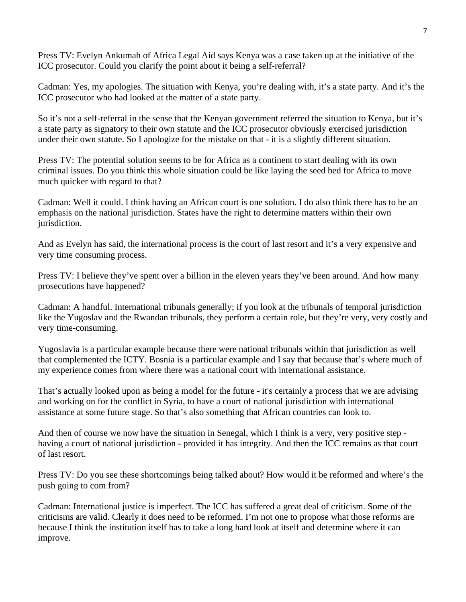Press TV: Evelyn Ankumah of Africa Legal Aid says Kenya was a case taken up at the initiative of the ICC prosecutor. Could you clarify the point about it being a self-referral?

Cadman: Yes, my apologies. The situation with Kenya, you're dealing with, it's a state party. And it's the ICC prosecutor who had looked at the matter of a state party.

So it's not a self-referral in the sense that the Kenyan government referred the situation to Kenya, but it's a state party as signatory to their own statute and the ICC prosecutor obviously exercised jurisdiction under their own statute. So I apologize for the mistake on that - it is a slightly different situation.

Press TV: The potential solution seems to be for Africa as a continent to start dealing with its own criminal issues. Do you think this whole situation could be like laying the seed bed for Africa to move much quicker with regard to that?

Cadman: Well it could. I think having an African court is one solution. I do also think there has to be an emphasis on the national jurisdiction. States have the right to determine matters within their own jurisdiction.

And as Evelyn has said, the international process is the court of last resort and it's a very expensive and very time consuming process.

Press TV: I believe they've spent over a billion in the eleven years they've been around. And how many prosecutions have happened?

Cadman: A handful. International tribunals generally; if you look at the tribunals of temporal jurisdiction like the Yugoslav and the Rwandan tribunals, they perform a certain role, but they're very, very costly and very time-consuming.

Yugoslavia is a particular example because there were national tribunals within that jurisdiction as well that complemented the ICTY. Bosnia is a particular example and I say that because that's where much of my experience comes from where there was a national court with international assistance.

That's actually looked upon as being a model for the future - it's certainly a process that we are advising and working on for the conflict in Syria, to have a court of national jurisdiction with international assistance at some future stage. So that's also something that African countries can look to.

And then of course we now have the situation in Senegal, which I think is a very, very positive step having a court of national jurisdiction - provided it has integrity. And then the ICC remains as that court of last resort.

Press TV: Do you see these shortcomings being talked about? How would it be reformed and where's the push going to com from?

Cadman: International justice is imperfect. The ICC has suffered a great deal of criticism. Some of the criticisms are valid. Clearly it does need to be reformed. I'm not one to propose what those reforms are because I think the institution itself has to take a long hard look at itself and determine where it can improve.